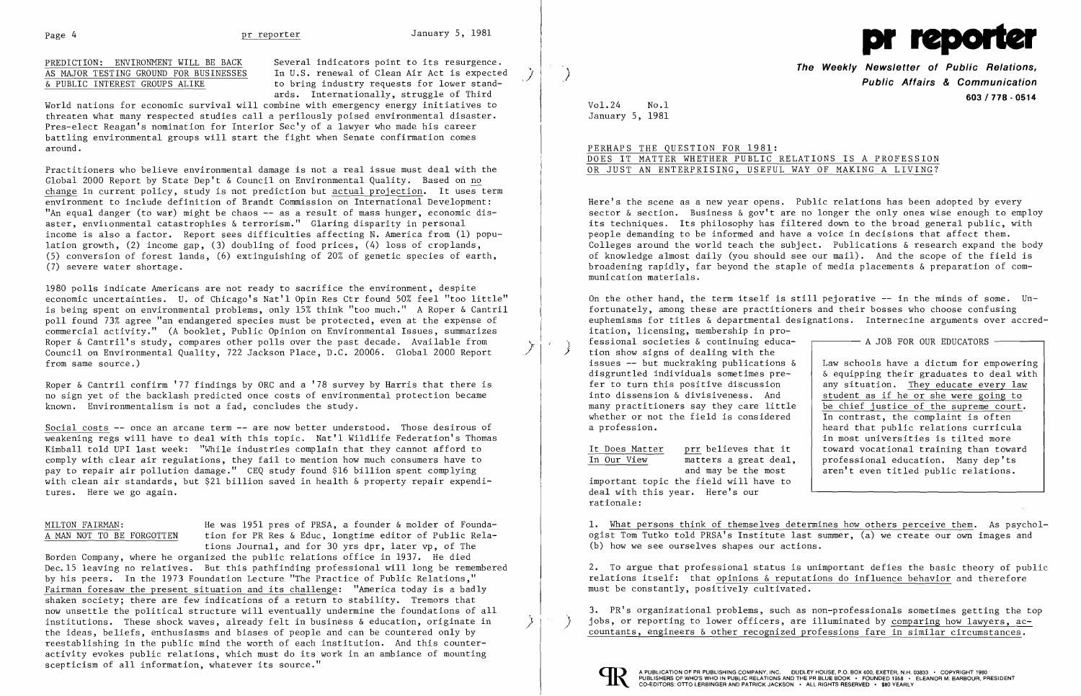# PREDICTION: ENVIRONMENT WILL BE BACK AS MAJOR TESTING GROUND FOR BUSINESSES & PUBLIC INTEREST GROUPS ALIKE

Several indicators point to its resurgence. In U.S. renewal of Clean Air Act is expected to bring industry requests for lower standards. Internationally, struggle of Third

World nations for economic survival will combine with emergency energy initiatives to threaten what many respected studies call a perilously poised environmental disaster. Pres-elect Reagan's nomination for Interior Sec'y of a lawyer who made his career battling environmental groups will start the fight when Senate confirmation comes around.

Practitioners who believe environmental damage is not a real issue must deal with the Global 2000 Report by State Dep't & Council on Environmental Quality. Based on no change in current policy, study is not prediction but actual projection. It uses term environment to include definition of Brandt Commission on International Development: "An equal danger (to war) might be chaos **--** as a result of mass hunger, economic disaster, environmental catastrophies & terrorism." Glaring disparity in personal income is also a factor. Report sees difficulties affecting N. America from (1) population growth, (2) income gap, (3) doubling of food prices, (4) loss of croplands, (5) conversion of forest lands, (6) extinguishing of 20% of genetic species of earth, (7) severe water shortage.

1980 polls indicate Americans are not ready to sacrifice the environment, despite economic uncertainties. U. of Chicago's Nat'l Opin Res Ctr found 50% feel "too little" is being spent on environmental problems, only 15% think "too much." A Roper & Cantril poll found 73% agree "an endangered species must be protected, even at the expense of commercial activity." (A booklet, Public Opinion on Environmental Issues, summarizes<br>Roper & Cantril's study, compares other polls over the past decade. Available from Council on Environmental Ouality, 722 Jackson Place, D.C. 20006. Global 2000 Report from same source.)

Roper & Cantril confirm '77 findings by ORC and a '78 survey by Harris that there is no sign yet of the backlash predicted once costs of environmental protection became known. Environmentalism is not a fad, concludes the study.

Social costs **--** once an arcane term **--** are now better understood. Those desirous of weakening regs will have to deal with this topic. Nat'l Wildlife Federation's Thomas Kimball told UPI last week: "While industries complain that they cannot afford to comply with clear air regulations, they fail to mention how much consumers have to pay to repair air pollution damage." CEQ study found \$16 billion spent complying with clean air standards, but \$21 billion saved in health & property repair expenditures. Here we go again.

MILTON FAIRMAN: He was 1951 pres of PRSA, a founder & molder of Founda-A MAN NOT TO BE FORGOTTEN tion for PR Res & Educ, longtime editor of Public Relations Journal, and for 30 yrs dpr, later vp, of The

> 2. To argue that professional status is unimportant defies the basic theory of public relations itself: that opinions & reputations do influence behavior and therefore must be constantly, positively cultivated.

Borden Company, where he organized the public relations office in 1937. He died Dec. 15 leaving no relatives. But this pathfinding professional will long be remembered by his peers. In the 1973 Foundation Lecture "The Practice of Public Relations," Fairman foresaw the present situation and its challenge: "America today is a badly shaken society; there are few indications of a return to stability. Tremors that now unsettle the political structure will eventually undermine the foundations of all institutions. These shock waves, already felt in business & education, originate in ) the ideas, beliefs, enthusiasms and biases of people and can be countered only by reestablishing in the public mind the worth of each institution. And this counteractivity evokes public relations, which must do its work in an ambiance of mounting scepticism of all information, whatever its source."



**The Weekly Newsletter of Public Relations,** ) **Public Affairs & Communication 603/778·0514**

Vol. 24 No.1 January 5, 1981

## PERHAPS THE QUESTION FOR 1981: DOES IT MATTER WHETHER PUBLIC RELATIONS IS A PROFESSION OR JUST AN ENTERPRISING, USEFUL WAY OF MAKING A LIVING?

Here's the scene as a new year opens. Public relations has been adopted by every sector & section. Business & gov't are no longer the only ones wise enough to employ its techniques. Its philosophy has filtered down to the broad general public, with people demanding to be informed and have a voice in decisions that affect them. Colleges around the world teach the subject. Publications & research expand the body of knowledge almost daily (you should see our mail). And the scope of the field is broadening rapidly, far beyond the staple of media placements & preparation of communication materials.

On the other hand, the term itself is still pejorative **--** in the minds of some. Unfortunately, among these are practitioners and their bosses who choose confusing euphemisms for titles & departmental designations. Internecine arguments over accreditation, licensing, membership in pro-<br>fessional societies & continuing education show signs of dealing with the issues **--** but muckraking publications & disgruntled individuals sometimes prefer to turn this positive discussion into dissension & divisiveness. And many practitioners say they care little whether or not the field is considered a profession. It Does Matter prr believes that it<br>In Our View matters a great deal matters a great deal. and may be the most  $-$  A JOB FOR OUR EDUCATORS  $-$ Law schools have a dictum for empowering & equipping their graduates to deal with any situation. They educate every law student as if he or she were going to be chief justice of the supreme court. In contrast, the complaint is often heard that public relations curricula in most universities is tilted more toward vocational training than toward professional education. Many dep'ts aren't even titled public relations.

important topic the field will have to deal with this year. Here's our rationale:

**1.** What persons think of themselves determines how others perceive them. As psychologist Tom Tutko told PRSA's Institute last summer, (a) we create our own images and (b) how we see ourselves shapes our actions.

3. PRls organizational problems, such as non-professionals sometimes getting the top jobs, or reporting to lower officers, are illuminated by comparing how lawyers, accountants, engineers & other recognized professions fare in similar circumstances.